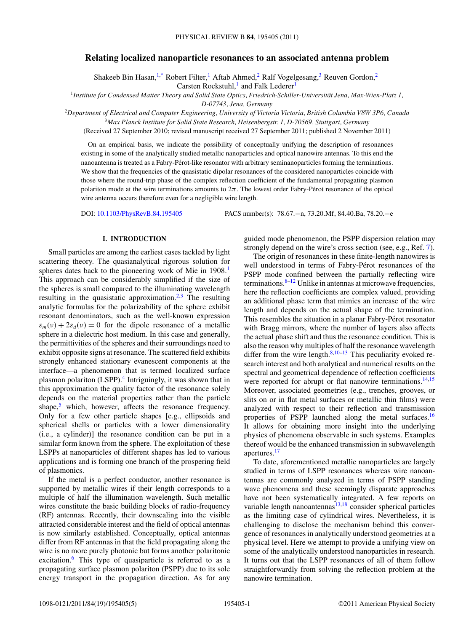## **Relating localized nanoparticle resonances to an associated antenna problem**

Shakeeb Bin Hasan,<sup>1[,\\*](#page-3-0)</sup> Robert Filter,<sup>1</sup> Aftab Ahmed,<sup>2</sup> Ralf Vogelgesang,<sup>3</sup> Reuven Gordon,<sup>2</sup> Carsten Rockstuhl, $\frac{1}{1}$  and Falk Lederer<sup>1</sup>

<sup>1</sup>*Institute for Condensed Matter Theory and Solid State Optics, Friedrich-Schiller-Universitat Jena, Max-Wien-Platz 1, ¨*

*D-07743, Jena, Germany*

<sup>2</sup>*Department of Electrical and Computer Engineering, University of Victoria Victoria, British Columbia V8W 3P6, Canada*

<sup>3</sup>*Max Planck Institute for Solid State Research, Heisenbergstr. 1, D-70569, Stuttgart, Germany*

(Received 27 September 2010; revised manuscript received 27 September 2011; published 2 November 2011)

On an empirical basis, we indicate the possibility of conceptually unifying the description of resonances existing in some of the analytically studied metallic nanoparticles and optical nanowire antennas. To this end the nanoantenna is treated as a Fabry-Perot-like resonator with arbitrary seminanoparticles forming the terminations. ´ We show that the frequencies of the quasistatic dipolar resonances of the considered nanoparticles coincide with those where the round-trip phase of the complex reflection coefficient of the fundamental propagating plasmon polariton mode at the wire terminations amounts to  $2\pi$ . The lowest order Fabry-Pérot resonance of the optical wire antenna occurs therefore even for a negligible wire length.

DOI: [10.1103/PhysRevB.84.195405](http://dx.doi.org/10.1103/PhysRevB.84.195405) PACS number(s): 78*.*67*.*−n, 73*.*20*.*Mf, 84*.*40*.*Ba, 78*.*20*.*−e

## **I. INTRODUCTION**

Small particles are among the earliest cases tackled by light scattering theory. The quasianalytical rigorous solution for spheres dates back to the pioneering work of Mie in 1908*.* [1](#page-3-0) This approach can be considerably simplified if the size of the spheres is small compared to the illuminating wavelength resulting in the quasistatic approximation.<sup>[2,3](#page-3-0)</sup> The resulting analytic formulas for the polarizability of the sphere exhibit resonant denominators, such as the well-known expression  $\varepsilon_m(v) + 2\varepsilon_d(v) = 0$  for the dipole resonance of a metallic sphere in a dielectric host medium. In this case and generally, the permittivities of the spheres and their surroundings need to exhibit opposite signs at resonance. The scattered field exhibits strongly enhanced stationary evanescent components at the interface—a phenomenon that is termed localized surface plasmon polariton (LSPP).<sup>4</sup> Intriguingly, it was shown that in this approximation the quality factor of the resonance solely depends on the material properties rather than the particle shape, $5$  which, however, affects the resonance frequency. Only for a few other particle shapes [e.g., ellipsoids and spherical shells or particles with a lower dimensionality (i.e., a cylinder)] the resonance condition can be put in a similar form known from the sphere. The exploitation of these LSPPs at nanoparticles of different shapes has led to various applications and is forming one branch of the prospering field of plasmonics.

If the metal is a perfect conductor, another resonance is supported by metallic wires if their length corresponds to a multiple of half the illumination wavelength. Such metallic wires constitute the basic building blocks of radio-frequency (RF) antennas. Recently, their downscaling into the visible attracted considerable interest and the field of optical antennas is now similarly established. Conceptually, optical antennas differ from RF antennas in that the field propagating along the wire is no more purely photonic but forms another polaritonic excitation.<sup>[6](#page-3-0)</sup> This type of quasiparticle is referred to as a propagating surface plasmon polariton (PSPP) due to its sole energy transport in the propagation direction. As for any

guided mode phenomenon, the PSPP dispersion relation may strongly depend on the wire's cross section (see, e.g., Ref. [7\)](#page-3-0).

The origin of resonances in these finite-length nanowires is well understood in terms of Fabry-Pérot resonances of the PSPP mode confined between the partially reflecting wire terminations. $8-12$  Unlike in antennas at microwave frequencies, here the reflection coefficients are complex valued, providing an additional phase term that mimics an increase of the wire length and depends on the actual shape of the termination. This resembles the situation in a planar Fabry-Pérot resonator with Bragg mirrors, where the number of layers also affects the actual phase shift and thus the resonance condition. This is also the reason why multiples of half the resonance wavelength differ from the wire length. $8,10-13$  This peculiarity evoked research interest and both analytical and numerical results on the spectral and geometrical dependence of reflection coefficients were reported for abrupt or flat nanowire terminations.  $14,15$ Moreover, associated geometries (e.g., trenches, grooves, or slits on or in flat metal surfaces or metallic thin films) were analyzed with respect to their reflection and transmission properties of PSPP launched along the metal surfaces.<sup>[16](#page-4-0)</sup> It allows for obtaining more insight into the underlying physics of phenomena observable in such systems. Examples thereof would be the enhanced transmission in subwavelength apertures[.17](#page-4-0)

To date, aforementioned metallic nanoparticles are largely studied in terms of LSPP resonances whereas wire nanoantennas are commonly analyzed in terms of PSPP standing wave phenomena and these seemingly disparate approaches have not been systematically integrated. A few reports on variable length nanoantennas $13,18$  consider spherical particles as the limiting case of cylindrical wires. Nevertheless, it is challenging to disclose the mechanism behind this convergence of resonances in analytically understood geometries at a physical level. Here we attempt to provide a unifying view on some of the analytically understood nanoparticles in research. It turns out that the LSPP resonances of all of them follow straightforwardly from solving the reflection problem at the nanowire termination.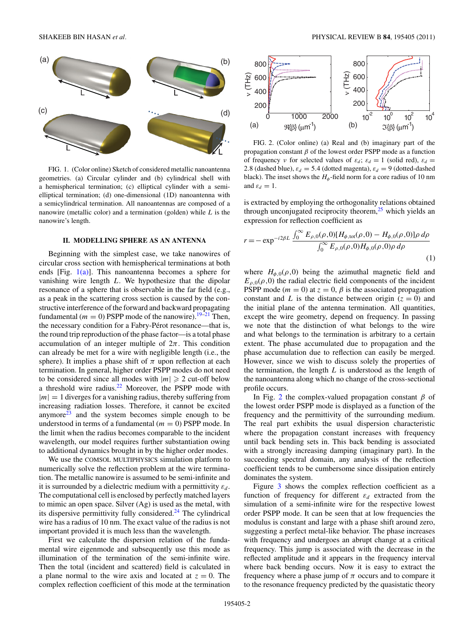<span id="page-1-0"></span>

FIG. 1. (Color online) Sketch of considered metallic nanoantenna geometries. (a) Circular cylinder and (b) cylindrical shell with a hemispherical termination; (c) elliptical cylinder with a semielliptical termination; (d) one-dimensional (1D) nanoantenna with a semicylindrical termination. All nanoantennas are composed of a nanowire (metallic color) and a termination (golden) while *L* is the nanowire's length.

## **II. MODELLING SPHERE AS AN ANTENNA**

Beginning with the simplest case, we take nanowires of circular cross section with hemispherical terminations at both ends [Fig.  $1(a)$ ]. This nanoantenna becomes a sphere for vanishing wire length *L*. We hypothesize that the dipolar resonance of a sphere that is observable in the far field (e.g., as a peak in the scattering cross section is caused by the constructive interference of the forward and backward propagating fundamental ( $m = 0$ ) PSPP mode of the nanowire).<sup>19–21</sup> Then, the necessary condition for a Fabry-Pérot resonance—that is, the round trip reproduction of the phase factor—is a total phase accumulation of an integer multiple of  $2\pi$ . This condition can already be met for a wire with negligible length (i.e., the sphere). It implies a phase shift of  $\pi$  upon reflection at each termination. In general, higher order PSPP modes do not need to be considered since all modes with  $|m| \ge 2$  cut-off below a threshold wire radius. $22$  Moreover, the PSPP mode with  $|m| = 1$  diverges for a vanishing radius, thereby suffering from increasing radiation losses. Therefore, it cannot be excited anymore<sup>23</sup> and the system becomes simple enough to be understood in terms of a fundamental (*m* = 0) PSPP mode. In the limit when the radius becomes comparable to the incident wavelength, our model requires further substantiation owing to additional dynamics brought in by the higher order modes.

We use the COMSOL MULTIPHYSICS simulation platform to numerically solve the reflection problem at the wire termination. The metallic nanowire is assumed to be semi-infinite and it is surrounded by a dielectric medium with a permittivity  $\varepsilon_d$ . The computational cell is enclosed by perfectly matched layers to mimic an open space. Silver (Ag) is used as the metal, with its dispersive permittivity fully considered. $24$  The cylindrical wire has a radius of 10 nm. The exact value of the radius is not important provided it is much less than the wavelength.

First we calculate the dispersion relation of the fundamental wire eigenmode and subsequently use this mode as illumination of the termination of the semi-infinite wire. Then the total (incident and scattered) field is calculated in a plane normal to the wire axis and located at  $z = 0$ . The complex reflection coefficient of this mode at the termination



FIG. 2. (Color online) (a) Real and (b) imaginary part of the propagation constant  $\beta$  of the lowest order PSPP mode as a function of frequency *ν* for selected values of  $\varepsilon_d$ ;  $\varepsilon_d = 1$  (solid red),  $\varepsilon_d =$ 2.8 (dashed blue),  $\varepsilon_d = 5.4$  (dotted magenta),  $\varepsilon_d = 9$  (dotted-dashed black). The inset shows the  $H_{\phi}$ -field norm for a core radius of 10 nm and  $\varepsilon_d = 1$ .

is extracted by employing the orthogonality relations obtained through unconjugated reciprocity theorem, $25$  which yields an expression for reflection coefficient as

$$
r = -\exp^{-i2\beta L} \frac{\int_0^\infty E_{\rho,0}(\rho,0)[H_{\phi,\text{tot}}(\rho,0) - H_{\phi,0}(\rho,0)]\rho \,d\rho}{\int_0^\infty E_{\rho,0}(\rho,0)H_{\phi,0}(\rho,0)\rho \,d\rho}
$$
\n(1)

where  $H_{\phi,0}(\rho,0)$  being the azimuthal magnetic field and  $E_{\rho,0}(\rho,0)$  the radial electric field components of the incident PSPP mode ( $m = 0$ ) at  $z = 0$ ,  $\beta$  is the associated propagation constant and *L* is the distance between origin  $(z = 0)$  and the initial plane of the antenna termination. All quantities, except the wire geometry, depend on frequency. In passing we note that the distinction of what belongs to the wire and what belongs to the termination is arbitrary to a certain extent. The phase accumulated due to propagation and the phase accumulation due to reflection can easily be merged. However, since we wish to discuss solely the properties of the termination, the length *L* is understood as the length of the nanoantenna along which no change of the cross-sectional profile occurs.

In Fig. 2 the complex-valued propagation constant *β* of the lowest order PSPP mode is displayed as a function of the frequency and the permittivity of the surrounding medium. The real part exhibits the usual dispersion characteristic where the propagation constant increases with frequency until back bending sets in. This back bending is associated with a strongly increasing damping (imaginary part). In the succeeding spectral domain, any analysis of the reflection coefficient tends to be cumbersome since dissipation entirely dominates the system.

Figure [3](#page-2-0) shows the complex reflection coefficient as a function of frequency for different  $\varepsilon_d$  extracted from the simulation of a semi-infinite wire for the respective lowest order PSPP mode. It can be seen that at low frequencies the modulus is constant and large with a phase shift around zero, suggesting a perfect metal-like behavior. The phase increases with frequency and undergoes an abrupt change at a critical frequency. This jump is associated with the decrease in the reflected amplitude and it appears in the frequency interval where back bending occurs. Now it is easy to extract the frequency where a phase jump of  $\pi$  occurs and to compare it to the resonance frequency predicted by the quasistatic theory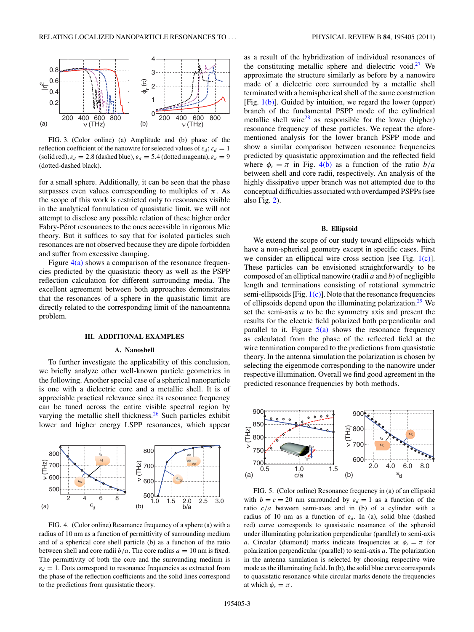<span id="page-2-0"></span>

FIG. 3. (Color online) (a) Amplitude and (b) phase of the reflection coefficient of the nanowire for selected values of  $\varepsilon_d$ ;  $\varepsilon_d = 1$ (solid red),  $\varepsilon_d = 2.8$  (dashed blue),  $\varepsilon_d = 5.4$  (dotted magenta),  $\varepsilon_d = 9$ (dotted-dashed black).

for a small sphere. Additionally, it can be seen that the phase surpasses even values corresponding to multiples of  $\pi$ . As the scope of this work is restricted only to resonances visible in the analytical formulation of quasistatic limit, we will not attempt to disclose any possible relation of these higher order Fabry-Pérot resonances to the ones accessible in rigorous Mie theory. But it suffices to say that for isolated particles such resonances are not observed because they are dipole forbidden and suffer from excessive damping.

Figure  $4(a)$  shows a comparison of the resonance frequencies predicted by the quasistatic theory as well as the PSPP reflection calculation for different surrounding media. The excellent agreement between both approaches demonstrates that the resonances of a sphere in the quasistatic limit are directly related to the corresponding limit of the nanoantenna problem.

## **III. ADDITIONAL EXAMPLES**

## **A. Nanoshell**

To further investigate the applicability of this conclusion, we briefly analyze other well-known particle geometries in the following. Another special case of a spherical nanoparticle is one with a dielectric core and a metallic shell. It is of appreciable practical relevance since its resonance frequency can be tuned across the entire visible spectral region by varying the metallic shell thickness. $26$  Such particles exhibit lower and higher energy LSPP resonances, which appear



FIG. 4. (Color online) Resonance frequency of a sphere (a) with a radius of 10 nm as a function of permittivity of surrounding medium and of a spherical core shell particle (b) as a function of the ratio between shell and core radii  $b/a$ . The core radius  $a = 10$  nm is fixed. The permittivity of both the core and the surrounding medium is  $\varepsilon_d = 1$ . Dots correspond to resonance frequencies as extracted from the phase of the reflection coefficients and the solid lines correspond to the predictions from quasistatic theory.

as a result of the hybridization of individual resonances of the constituting metallic sphere and dielectric void.<sup>[27](#page-4-0)</sup> We approximate the structure similarly as before by a nanowire made of a dielectric core surrounded by a metallic shell terminated with a hemispherical shell of the same construction [Fig.  $1(b)$ ]. Guided by intuition, we regard the lower (upper) branch of the fundamental PSPP mode of the cylindrical metallic shell wire<sup>28</sup> as responsible for the lower (higher) resonance frequency of these particles. We repeat the aforementioned analysis for the lower branch PSPP mode and show a similar comparison between resonance frequencies predicted by quasistatic approximation and the reflected field where  $\phi_r = \pi$  in Fig. 4(b) as a function of the ratio  $b/a$ between shell and core radii, respectively. An analysis of the highly dissipative upper branch was not attempted due to the conceptual difficulties associated with overdamped PSPPs (see also Fig. [2\)](#page-1-0).

#### **B. Ellipsoid**

We extend the scope of our study toward ellipsoids which have a non-spherical geometry except in specific cases. First we consider an elliptical wire cross section [see Fig. [1\(c\)\]](#page-1-0). These particles can be envisioned straightforwardly to be composed of an elliptical nanowire (radii *a* and *b*) of negligible length and terminations consisting of rotational symmetric semi-ellipsoids  $[Fig. 1(c)]$  $[Fig. 1(c)]$ . Note that the resonance frequencies of ellipsoids depend upon the illuminating polarization.<sup>[29](#page-4-0)</sup> We set the semi-axis *a* to be the symmetry axis and present the results for the electric field polarized both perpendicular and parallel to it. Figure  $5(a)$  shows the resonance frequency as calculated from the phase of the reflected field at the wire termination compared to the predictions from quasistatic theory. In the antenna simulation the polarization is chosen by selecting the eigenmode corresponding to the nanowire under respective illumination. Overall we find good agreement in the predicted resonance frequencies by both methods.



FIG. 5. (Color online) Resonance frequency in (a) of an ellipsoid with  $b = c = 20$  nm surrounded by  $\varepsilon_d = 1$  as a function of the ratio *c/a* between semi-axes and in (b) of a cylinder with a radius of 10 nm as a function of  $\varepsilon_d$ . In (a), solid blue (dashed red) curve corresponds to quasistatic resonance of the spheroid under illuminating polarization perpendicular (parallel) to semi-axis *a*. Circular (diamond) marks indicate frequencies at  $\phi_r = \pi$  for polarization perpendicular (parallel) to semi-axis *a*. The polarization in the antenna simulation is selected by choosing respective wire mode as the illuminating field. In (b), the solid blue curve corresponds to quasistatic resonance while circular marks denote the frequencies at which  $\phi_r = \pi$ .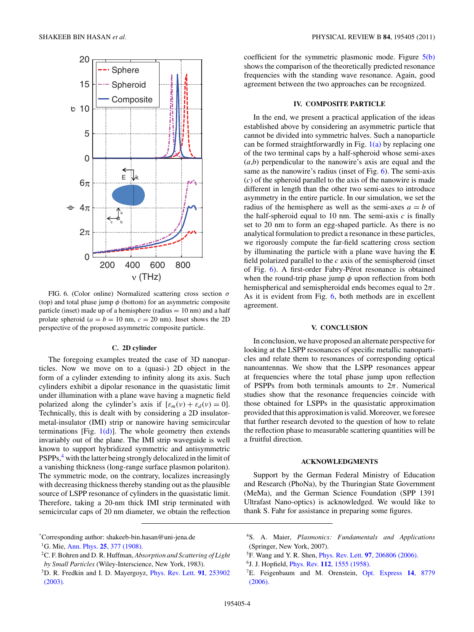<span id="page-3-0"></span>

FIG. 6. (Color online) Normalized scattering cross section *σ* (top) and total phase jump *φ* (bottom) for an asymmetric composite particle (inset) made up of a hemisphere (radius  $= 10$  nm) and a half prolate spheroid ( $a = b = 10$  nm,  $c = 20$  nm). Inset shows the 2D perspective of the proposed asymmetric composite particle.

## **C. 2D cylinder**

The foregoing examples treated the case of 3D nanoparticles. Now we move on to a (quasi-) 2D object in the form of a cylinder extending to infinity along its axis. Such cylinders exhibit a dipolar resonance in the quasistatic limit under illumination with a plane wave having a magnetic field polarized along the cylinder's axis if  $[\varepsilon_m(\nu) + \varepsilon_d(\nu) = 0]$ . Technically, this is dealt with by considering a 2D insulatormetal-insulator (IMI) strip or nanowire having semicircular terminations [Fig.  $1(d)$ ]. The whole geometry then extends invariably out of the plane. The IMI strip waveguide is well known to support hybridized symmetric and antisymmetric PSPPs,<sup>4</sup> with the latter being strongly delocalized in the limit of a vanishing thickness (long-range surface plasmon polariton). The symmetric mode, on the contrary, localizes increasingly with decreasing thickness thereby standing out as the plausible source of LSPP resonance of cylinders in the quasistatic limit. Therefore, taking a 20-nm thick IMI strip terminated with semicircular caps of 20 nm diameter, we obtain the reflection coefficient for the symmetric plasmonic mode. Figure [5\(b\)](#page-2-0) shows the comparison of the theoretically predicted resonance frequencies with the standing wave resonance. Again, good agreement between the two approaches can be recognized.

# **IV. COMPOSITE PARTICLE**

In the end, we present a practical application of the ideas established above by considering an asymmetric particle that cannot be divided into symmetric halves. Such a nanoparticle can be formed straightforwardly in Fig.  $1(a)$  by replacing one of the two terminal caps by a half-spheroid whose semi-axes (*a,b*) perpendicular to the nanowire's axis are equal and the same as the nanowire's radius (inset of Fig. 6). The semi-axis (*c*) of the spheroid parallel to the axis of the nanowire is made different in length than the other two semi-axes to introduce asymmetry in the entire particle. In our simulation, we set the radius of the hemisphere as well as the semi-axes  $a = b$  of the half-spheroid equal to 10 nm. The semi-axis  $c$  is finally set to 20 nm to form an egg-shaped particle. As there is no analytical formulation to predict a resonance in these particles, we rigorously compute the far-field scattering cross section by illuminating the particle with a plane wave having the **E** field polarized parallel to the *c* axis of the semispheroid (inset of Fig. 6). A first-order Fabry-Pérot resonance is obtained when the round-trip phase jump *φ* upon reflection from both hemispherical and semispheroidal ends becomes equal to 2*π*. As it is evident from Fig. 6, both methods are in excellent agreement.

### **V. CONCLUSION**

In conclusion, we have proposed an alternate perspective for looking at the LSPP resonances of specific metallic nanoparticles and relate them to resonances of corresponding optical nanoantennas. We show that the LSPP resonances appear at frequencies where the total phase jump upon reflection of PSPPs from both terminals amounts to  $2\pi$ . Numerical studies show that the resonance frequencies coincide with those obtained for LSPPs in the quasistatic approximation provided that this approximation is valid. Moreover, we foresee that further research devoted to the question of how to relate the reflection phase to measurable scattering quantities will be a fruitful direction.

## **ACKNOWLEDGMENTS**

Support by the German Federal Ministry of Education and Research (PhoNa), by the Thuringian State Government (MeMa), and the German Science Foundation (SPP 1391 Ultrafast Nano-optics) is acknowledged. We would like to thank S. Fahr for assistance in preparing some figures.

- 4S. A. Maier, *Plasmonics: Fundamentals and Applications* (Springer, New York, 2007).
- 5F. Wang and Y. R. Shen, Phys. Rev. Lett. **97**[, 206806 \(2006\).](http://dx.doi.org/10.1103/PhysRevLett.97.206806)
- 6J. J. Hopfield, Phys. Rev. **112**[, 1555 \(1958\).](http://dx.doi.org/10.1103/PhysRev.112.1555)

<sup>\*</sup> Corresponding author: shakeeb-bin.hasan@uni-jena.de 1G. Mie, Ann. Phys. **25**[, 377 \(1908\).](http://dx.doi.org/10.1002/andp.19083300302)

<sup>2</sup>C. F. Bohren and D. R. Huffman, *Absorption and Scattering of Light by Small Particles* (Wiley-Interscience, New York, 1983).

<sup>3</sup>D. R. Fredkin and I. D. Mayergoyz, [Phys. Rev. Lett.](http://dx.doi.org/10.1103/PhysRevLett.91.253902) **91**, 253902 [\(2003\).](http://dx.doi.org/10.1103/PhysRevLett.91.253902)

<sup>7</sup>E. Feigenbaum and M. Orenstein, [Opt. Express](http://dx.doi.org/10.1364/OE.14.008779) **14**, 8779 [\(2006\).](http://dx.doi.org/10.1364/OE.14.008779)